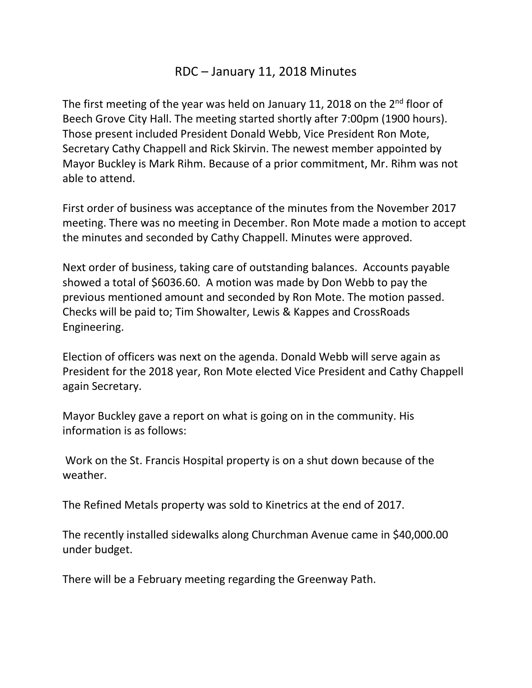## RDC – January 11, 2018 Minutes

The first meeting of the year was held on January 11, 2018 on the 2<sup>nd</sup> floor of Beech Grove City Hall. The meeting started shortly after 7:00pm (1900 hours). Those present included President Donald Webb, Vice President Ron Mote, Secretary Cathy Chappell and Rick Skirvin. The newest member appointed by Mayor Buckley is Mark Rihm. Because of a prior commitment, Mr. Rihm was not able to attend.

First order of business was acceptance of the minutes from the November 2017 meeting. There was no meeting in December. Ron Mote made a motion to accept the minutes and seconded by Cathy Chappell. Minutes were approved.

Next order of business, taking care of outstanding balances. Accounts payable showed a total of \$6036.60. A motion was made by Don Webb to pay the previous mentioned amount and seconded by Ron Mote. The motion passed. Checks will be paid to; Tim Showalter, Lewis & Kappes and CrossRoads Engineering.

Election of officers was next on the agenda. Donald Webb will serve again as President for the 2018 year, Ron Mote elected Vice President and Cathy Chappell again Secretary.

Mayor Buckley gave a report on what is going on in the community. His information is as follows:

Work on the St. Francis Hospital property is on a shut down because of the weather.

The Refined Metals property was sold to Kinetrics at the end of 2017.

The recently installed sidewalks along Churchman Avenue came in \$40,000.00 under budget.

There will be a February meeting regarding the Greenway Path.